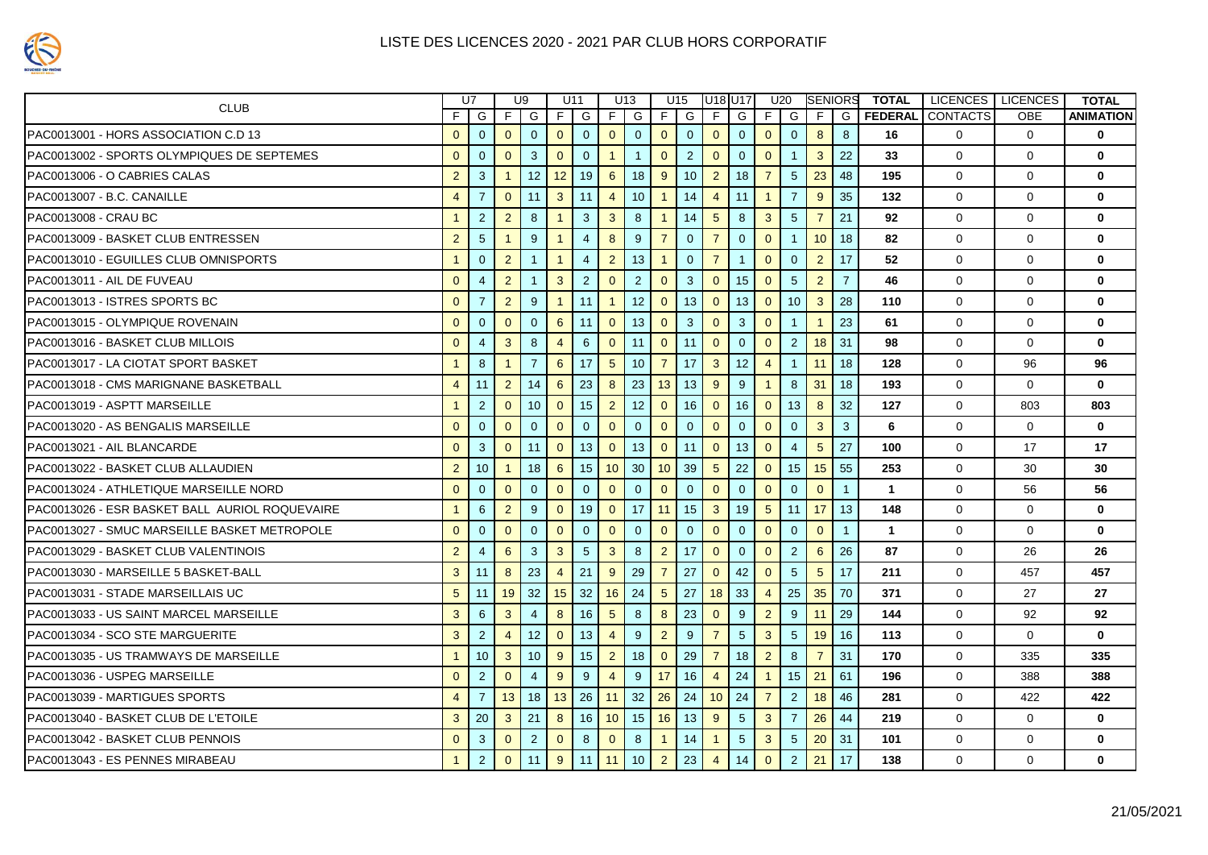| <b>CLUB</b>                                    |                | U7              | U9             |                | U11             |                | U13             |                 | U15             |                 | U18 U17         |                 |                 | U20             | <b>SENIORS</b>  |                | <b>TOTAL</b> | LICENCES   LICENCES     |             | <b>TOTAL</b>     |
|------------------------------------------------|----------------|-----------------|----------------|----------------|-----------------|----------------|-----------------|-----------------|-----------------|-----------------|-----------------|-----------------|-----------------|-----------------|-----------------|----------------|--------------|-------------------------|-------------|------------------|
|                                                | F I            | G               |                | FIG            |                 | FIG            |                 | FIG             | F <sub>1</sub>  | G               | E I             | G               |                 | $F$ G           | F.              | G              |              | <b>FEDERAL CONTACTS</b> | <b>OBE</b>  | <b>ANIMATION</b> |
| PAC0013001 - HORS ASSOCIATION C.D 13           | $\overline{0}$ | $\overline{0}$  | $\overline{0}$ | $\overline{0}$ | 0               | $\overline{0}$ | $\mathbf{0}$    | $\overline{0}$  | 0 <sup>1</sup>  | $\overline{0}$  | $\overline{0}$  | $\overline{0}$  | 0 <sup>1</sup>  | $\overline{0}$  | 8               | 8              | 16           | $\Omega$                | $\Omega$    | $\bf{0}$         |
| PAC0013002 - SPORTS OLYMPIQUES DE SEPTEMES     | $\Omega$       | $\overline{0}$  | $\overline{0}$ | 3              | $\overline{0}$  | $\Omega$       | $\overline{1}$  | $\overline{1}$  | $\overline{0}$  | 2               | $\overline{0}$  | $\overline{0}$  | $\overline{0}$  | $\overline{1}$  | $\mathbf{3}$    | 22             | 33           | $\Omega$                | $\Omega$    | $\bf{0}$         |
| PAC0013006 - O CABRIES CALAS                   | 2              | 3               | $\overline{1}$ | 12             | 12 <sup>1</sup> | 19             | 6               | 18              | 9               | 10 <sup>1</sup> | $\overline{2}$  | 18              | $\overline{7}$  | $5\overline{5}$ | 23              | 48             | 195          | $\Omega$                | $\Omega$    | $\bf{0}$         |
| PAC0013007 - B.C. CANAILLE                     | $\overline{4}$ | $\overline{7}$  | $\overline{0}$ | 11             |                 | $3 \mid 11$    | $\overline{4}$  | 10 <sup>°</sup> | $\overline{1}$  | 14              | $\overline{4}$  | 11              | $\overline{1}$  | $\overline{7}$  | 9               | 35             | 132          | $\mathbf{0}$            | $\Omega$    | $\mathbf{0}$     |
| PAC0013008 - CRAU BC                           |                | 2               | $\overline{2}$ | 8              | $\mathbf{1}$    | $\overline{3}$ | $\mathbf{3}$    | 8               | $\overline{1}$  | 14              | $5\overline{5}$ | 8               | $\mathbf{3}$    | $5\phantom{.0}$ | $\overline{7}$  | 21             | 92           | $\Omega$                | $\Omega$    | $\bf{0}$         |
| PAC0013009 - BASKET CLUB ENTRESSEN             | $\overline{2}$ | $5\phantom{.0}$ | $\overline{1}$ | 9              | $\mathbf{1}$    | $\overline{4}$ | 8               | 9               | $\overline{7}$  | $\overline{0}$  | $\overline{7}$  | $\overline{0}$  | $\mathbf{0}$    |                 | 10              | 18             | 82           | $\mathbf{0}$            | $\mathbf 0$ | $\mathbf 0$      |
| PAC0013010 - EGUILLES CLUB OMNISPORTS          | $\mathbf{1}$   | $\overline{0}$  | $\overline{2}$ | $\overline{1}$ | $\mathbf{1}$    | $\overline{4}$ | $\overline{2}$  | 13              | $\overline{1}$  | $\overline{0}$  | $\overline{7}$  | $\mathbf{1}$    | $\overline{0}$  | $\Omega$        | $\overline{2}$  | 17             | 52           | $\mathbf 0$             | 0           | $\mathbf 0$      |
| IPAC0013011 - AIL DE FUVEAU                    | $\mathbf{0}$   | $\overline{4}$  | $\overline{2}$ | $\overline{1}$ | 3 <sup>1</sup>  | $\overline{2}$ | $\overline{0}$  | 2               | $\overline{0}$  | $\mathbf{3}$    | $\mathbf{0}$    | 15              | $\overline{0}$  | $5\phantom{.0}$ | $\overline{2}$  | $\overline{7}$ | 46           | $\Omega$                | $\Omega$    | $\mathbf{0}$     |
| PAC0013013 - ISTRES SPORTS BC                  | $\mathbf{0}$   | $\overline{7}$  | $\overline{2}$ | 9              | $\mathbf{1}$    | 11             | $\overline{1}$  | 12              | $\overline{0}$  | 13              | $\mathbf{0}$    | 13              | $\overline{0}$  | 10 <sup>°</sup> | $\mathbf{3}$    | 28             | 110          | $\Omega$                | $\Omega$    | $\mathbf{0}$     |
| PAC0013015 - OLYMPIQUE ROVENAIN                | $\Omega$       | $\Omega$        | $\Omega$       | $\Omega$       | 6               | 11             | $\Omega$        | 13              | $\Omega$        | $\mathbf{3}$    | $\mathbf{0}$    | $\mathbf{3}$    | $\Omega$        | $\overline{1}$  | $\overline{1}$  | 23             | 61           | $\Omega$                | $\Omega$    | $\mathbf{0}$     |
| PAC0013016 - BASKET CLUB MILLOIS               | $\Omega$       | $\overline{4}$  | $\mathbf{3}$   | 8              | $\overline{4}$  | 6              | $\overline{0}$  | 11              |                 | $0$ 11          | $\overline{0}$  | $\overline{0}$  | $\overline{0}$  | $\overline{2}$  | 18              | 31             | 98           | $\mathbf 0$             | $\Omega$    | $\mathbf{0}$     |
| PAC0013017 - LA CIOTAT SPORT BASKET            |                | 8               | $\overline{1}$ | $\overline{7}$ | $6\overline{6}$ | 17             | $5\overline{5}$ | 10 <sup>°</sup> | $\overline{7}$  | 17              | $\mathbf{3}$    | 12              | $\overline{4}$  | $\overline{1}$  | 11              | 18             | 128          | $\Omega$                | 96          | 96               |
| PAC0013018 - CMS MARIGNANE BASKETBALL          | $\overline{4}$ | 11              | $\overline{2}$ | 14             | 6               | 23             | 8               | 23              |                 | $13$ 13         | 9               | 9               | $\overline{1}$  | 8               | 31              | 18             | 193          | $\Omega$                | $\Omega$    | $\mathbf{0}$     |
| PAC0013019 - ASPTT MARSEILLE                   | $\overline{1}$ | 2               | $\overline{0}$ | 10             | $\mathbf{0}$    | 15             | $\overline{2}$  | 12              | $\overline{0}$  | 16              | $\overline{0}$  | 16              | $\mathbf{0}$    | 13              | 8               | 32             | 127          | $\Omega$                | 803         | 803              |
| IPAC0013020 - AS BENGALIS MARSEILLE            | $\Omega$       | $\Omega$        | $\overline{0}$ | $\Omega$       | $\Omega$        | $\Omega$       | $\overline{0}$  | $\Omega$        | $\overline{0}$  | $\Omega$        | $\mathbf{0}$    | $\Omega$        | $\overline{0}$  | $\Omega$        | $\mathbf{3}$    | 3              | 6            | $\Omega$                | $\Omega$    | $\mathbf{0}$     |
| PAC0013021 - AIL BLANCARDE                     | $\mathbf{0}$   | 3               | $\overline{0}$ | 11             | $\mathbf{0}$    | 13             | $\overline{0}$  | 13              | $\mathbf{0}$    | 11              | $\mathbf{0}$    | 13              | $\overline{0}$  | $\overline{4}$  | $5\phantom{.0}$ | 27             | 100          | $\Omega$                | 17          | 17               |
| PAC0013022 - BASKET CLUB ALLAUDIEN             | 2              | 10 <sup>°</sup> | $\overline{1}$ | 18             | 6               | 15             | 10              | 30              | 10 <sup>1</sup> | 39              | $5\overline{5}$ | 22              | $\overline{0}$  | 15              | 15              | 55             | 253          | $\mathbf{0}$            | 30          | 30               |
| PAC0013024 - ATHLETIQUE MARSEILLE NORD         | $\overline{0}$ | $\overline{0}$  | $\overline{0}$ | $\overline{0}$ | $\overline{0}$  | $\overline{0}$ | $\overline{0}$  | $\overline{0}$  | $\mathbf{0}$    | $\overline{0}$  | $\overline{0}$  | $\overline{0}$  | $\overline{0}$  | $\overline{0}$  | $\overline{0}$  | $\overline{1}$ | $\mathbf{1}$ | $\mathbf 0$             | 56          | 56               |
| PAC0013026 - ESR BASKET BALL AURIOL ROQUEVAIRE | $\mathbf{1}$   | $6\overline{6}$ | $\overline{2}$ | 9              | $\overline{0}$  | 19             | $\overline{0}$  | 17              | 11              | 15              | $\mathbf{3}$    | 19              | $5\overline{)}$ | 11              | 17              | 13             | 148          | $\mathbf 0$             | $\mathbf 0$ | $\mathbf 0$      |
| PAC0013027 - SMUC MARSEILLE BASKET METROPOLE   | $\mathbf{0}$   | $\Omega$        | $\overline{0}$ | $\overline{0}$ | $\mathbf{0}$    | $\overline{0}$ | $\overline{0}$  | $\overline{0}$  | $\mathbf{0}$    | $\overline{0}$  | $\mathbf{0}$    | $\overline{0}$  | $\mathbf{0}$    | $\mathbf{0}$    | $\overline{0}$  | $\overline{1}$ | $\mathbf{1}$ | $\mathbf 0$             | $\mathbf 0$ | $\mathbf 0$      |
| PAC0013029 - BASKET CLUB VALENTINOIS           | $\overline{2}$ | $\overline{4}$  | 6              | $\mathbf{3}$   | $\mathbf{3}$    | 5              | $\mathbf{3}$    | 8               | 2 <sup>1</sup>  | 17              | $\overline{0}$  | $\overline{0}$  | $\overline{0}$  | 2               | $6\overline{6}$ | 26             | 87           | $\mathbf 0$             | 26          | 26               |
| PAC0013030 - MARSEILLE 5 BASKET-BALL           | 3 <sup>1</sup> | 11              | 8              | 23             | $\overline{4}$  | 21             | 9               | 29              | $\overline{7}$  | 27              | $\mathbf{0}$    | 42              | $\overline{0}$  | $5\overline{)}$ | $5\phantom{.0}$ | 17             | 211          | $\Omega$                | 457         | 457              |
| PAC0013031 - STADE MARSEILLAIS UC              | 5              | 11              | 19             | 32             | 15 <sup>1</sup> | 32             | 16              | 24              | $5\overline{)}$ | 27              | 18              | 33              | $\overline{4}$  | 25              | 35              | 70             | 371          | $\Omega$                | 27          | 27               |
| PAC0013033 - US SAINT MARCEL MARSEILLE         | 3              | 6               | $\overline{3}$ | $\overline{4}$ | 8               | 16             | 5               | 8               | 8               | 23              | $\mathbf{0}$    | 9               | 2               | 9               | 11              | 29             | 144          | $\Omega$                | 92          | 92               |
| IPAC0013034 - SCO STE MARGUERITE               | 3              | $\overline{2}$  | $\overline{4}$ | 12             | $\overline{0}$  | 13             | $\overline{4}$  | 9               | 2 <sup>2</sup>  | 9               | $\overline{7}$  | $5\overline{)}$ | $\mathbf{3}$    | $5\phantom{.0}$ | 19              | 16             | 113          | $\mathbf{0}$            | $\mathbf 0$ | $\mathbf{0}$     |
| <b>I</b> PAC0013035 - US TRAMWAYS DE MARSEILLE | $\mathbf{1}$   | 10              | $\mathbf{3}$   | 10             | 9               | 15             | $\overline{2}$  | 18              | $\overline{0}$  | 29              | $\overline{7}$  | 18              | $\overline{2}$  | 8               | $\overline{7}$  | 31             | 170          | $\Omega$                | 335         | 335              |
| PAC0013036 - USPEG MARSEILLE                   | $\Omega$       | 2               | $\Omega$       | $\overline{4}$ | 9               | 9              | $\overline{4}$  | 9               | 17 <sup>1</sup> | 16              | $\overline{4}$  | 24              | $\overline{1}$  | 15              | 21              | 61             | 196          | $\Omega$                | 388         | 388              |
| PAC0013039 - MARTIGUES SPORTS                  | $\overline{4}$ | $\overline{7}$  | 13             | 18             |                 | $13 \mid 26$   | 11              | 32              |                 | $26$ 24         | 10              | 24              | $\overline{7}$  | 2               | 18              | 46             | 281          | $\Omega$                | 422         | 422              |
| PAC0013040 - BASKET CLUB DE L'ETOILE           | 3              | 20              | $\mathbf{3}$   | 21             | 8               | 16             | 10              | 15              | 16              | 13              | 9               | $5\overline{)}$ | $\mathbf{3}$    | $\overline{7}$  | 26              | 44             | 219          | $\Omega$                | $\Omega$    | $\mathbf{0}$     |
| PAC0013042 - BASKET CLUB PENNOIS               | $\mathbf{0}$   | 3               | $\overline{0}$ | $\overline{2}$ | $\mathbf{0}$    | 8              | $\mathbf{0}$    | 8               | -1              | 14              | $\overline{1}$  | $5\phantom{.0}$ | 3               | $5\phantom{.0}$ | 20              | 31             | 101          | 0                       | $\mathbf 0$ | $\mathbf 0$      |
| PAC0013043 - ES PENNES MIRABEAU                | $\mathbf{1}$   | $2^{\circ}$     | $\overline{0}$ | 11             |                 | $9 \mid 11$    | 11              | 10 <sup>°</sup> | 2 <sup>1</sup>  | 23              | $\overline{4}$  | 14              | $\overline{0}$  | $\overline{2}$  | 21              | 17             | 138          | 0                       | $\Omega$    | $\mathbf{0}$     |